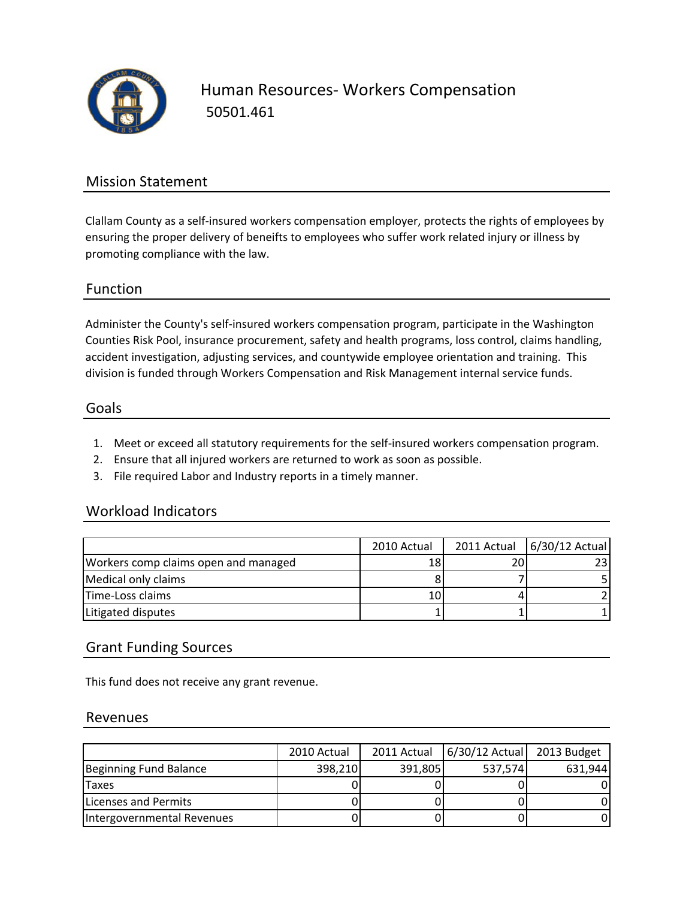

Human Resources‐ Workers Compensation 50501.461

## Mission Statement

Clallam County as a self‐insured workers compensation employer, protects the rights of employees by ensuring the proper delivery of beneifts to employees who suffer work related injury or illness by promoting compliance with the law.

### Function

Administer the County's self‐insured workers compensation program, participate in the Washington Counties Risk Pool, insurance procurement, safety and health programs, loss control, claims handling, accident investigation, adjusting services, and countywide employee orientation and training. This division is funded through Workers Compensation and Risk Management internal service funds.

### Goals

- 1. Meet or exceed all statutory requirements for the self‐insured workers compensation program.
- 2. Ensure that all injured workers are returned to work as soon as possible.
- 3. File required Labor and Industry reports in a timely manner.

### Workload Indicators

|                                      | 2010 Actual | 2011 Actual 6/30/12 Actual |
|--------------------------------------|-------------|----------------------------|
| Workers comp claims open and managed | 18          |                            |
| Medical only claims                  |             |                            |
| Time-Loss claims                     | 10          |                            |
| Litigated disputes                   |             |                            |

## Grant Funding Sources

This fund does not receive any grant revenue.

### Revenues

|                            | 2010 Actual | 2011 Actual | 6/30/12 Actual | 2013 Budget |
|----------------------------|-------------|-------------|----------------|-------------|
| Beginning Fund Balance     | 398,210     | 391,805     | 537,574        | 631,944     |
| <b>Taxes</b>               |             |             |                |             |
| Licenses and Permits       |             |             |                |             |
| Intergovernmental Revenues |             |             |                |             |